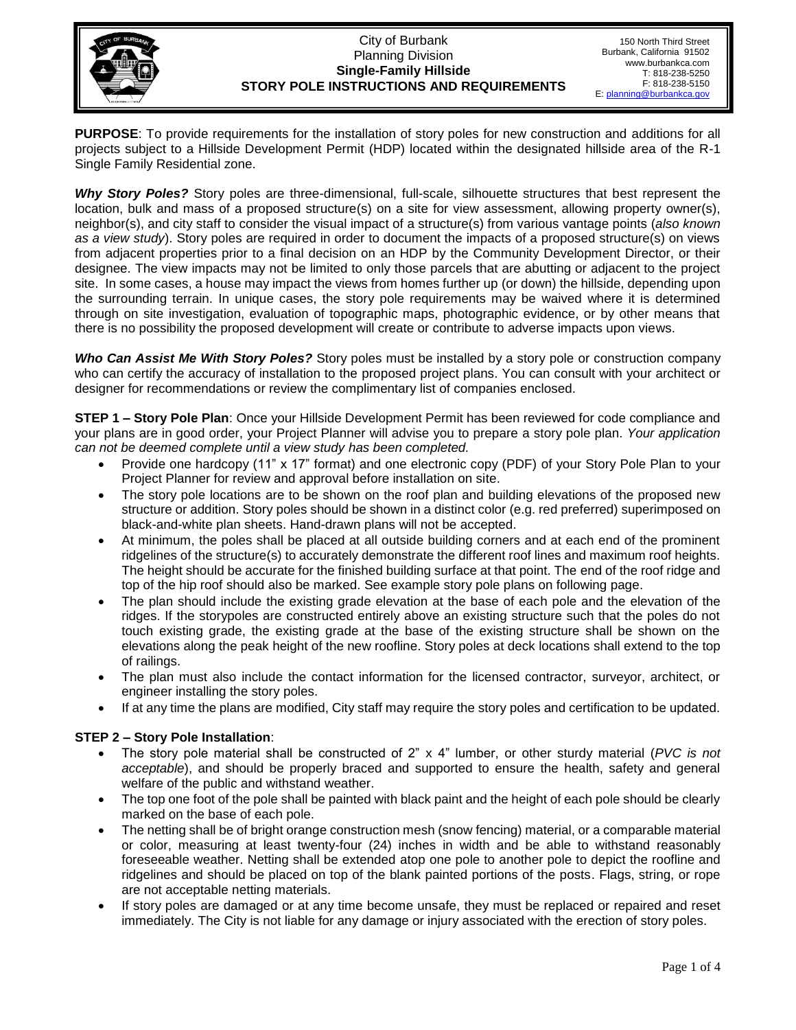

#### City of Burbank Planning Division **Single-Family Hillside STORY POLE INSTRUCTIONS AND REQUIREMENTS**

**PURPOSE**: To provide requirements for the installation of story poles for new construction and additions for all projects subject to a Hillside Development Permit (HDP) located within the designated hillside area of the R-1 Single Family Residential zone.

*Why Story Poles?* Story poles are three-dimensional, full-scale, silhouette structures that best represent the location, bulk and mass of a proposed structure(s) on a site for view assessment, allowing property owner(s), neighbor(s), and city staff to consider the visual impact of a structure(s) from various vantage points (*also known as a view study*). Story poles are required in order to document the impacts of a proposed structure(s) on views from adjacent properties prior to a final decision on an HDP by the Community Development Director, or their designee. The view impacts may not be limited to only those parcels that are abutting or adjacent to the project site. In some cases, a house may impact the views from homes further up (or down) the hillside, depending upon the surrounding terrain. In unique cases, the story pole requirements may be waived where it is determined through on site investigation, evaluation of topographic maps, photographic evidence, or by other means that there is no possibility the proposed development will create or contribute to adverse impacts upon views.

*Who Can Assist Me With Story Poles?* Story poles must be installed by a story pole or construction company who can certify the accuracy of installation to the proposed project plans. You can consult with your architect or designer for recommendations or review the complimentary list of companies enclosed.

**STEP 1 – Story Pole Plan**: Once your Hillside Development Permit has been reviewed for code compliance and your plans are in good order, your Project Planner will advise you to prepare a story pole plan. *Your application can not be deemed complete until a view study has been completed.*

- Provide one hardcopy (11" x 17" format) and one electronic copy (PDF) of your Story Pole Plan to your Project Planner for review and approval before installation on site.
- The story pole locations are to be shown on the roof plan and building elevations of the proposed new structure or addition. Story poles should be shown in a distinct color (e.g. red preferred) superimposed on black-and-white plan sheets. Hand-drawn plans will not be accepted.
- At minimum, the poles shall be placed at all outside building corners and at each end of the prominent ridgelines of the structure(s) to accurately demonstrate the different roof lines and maximum roof heights. The height should be accurate for the finished building surface at that point. The end of the roof ridge and top of the hip roof should also be marked. See example story pole plans on following page.
- The plan should include the existing grade elevation at the base of each pole and the elevation of the ridges. If the storypoles are constructed entirely above an existing structure such that the poles do not touch existing grade, the existing grade at the base of the existing structure shall be shown on the elevations along the peak height of the new roofline. Story poles at deck locations shall extend to the top of railings.
- The plan must also include the contact information for the licensed contractor, surveyor, architect, or engineer installing the story poles.
- If at any time the plans are modified, City staff may require the story poles and certification to be updated.

#### **STEP 2 – Story Pole Installation**:

- The story pole material shall be constructed of 2" x 4" lumber, or other sturdy material (*PVC is not acceptable*), and should be properly braced and supported to ensure the health, safety and general welfare of the public and withstand weather.
- The top one foot of the pole shall be painted with black paint and the height of each pole should be clearly marked on the base of each pole.
- The netting shall be of bright orange construction mesh (snow fencing) material, or a comparable material or color, measuring at least twenty-four (24) inches in width and be able to withstand reasonably foreseeable weather. Netting shall be extended atop one pole to another pole to depict the roofline and ridgelines and should be placed on top of the blank painted portions of the posts. Flags, string, or rope are not acceptable netting materials.
- If story poles are damaged or at any time become unsafe, they must be replaced or repaired and reset immediately. The City is not liable for any damage or injury associated with the erection of story poles.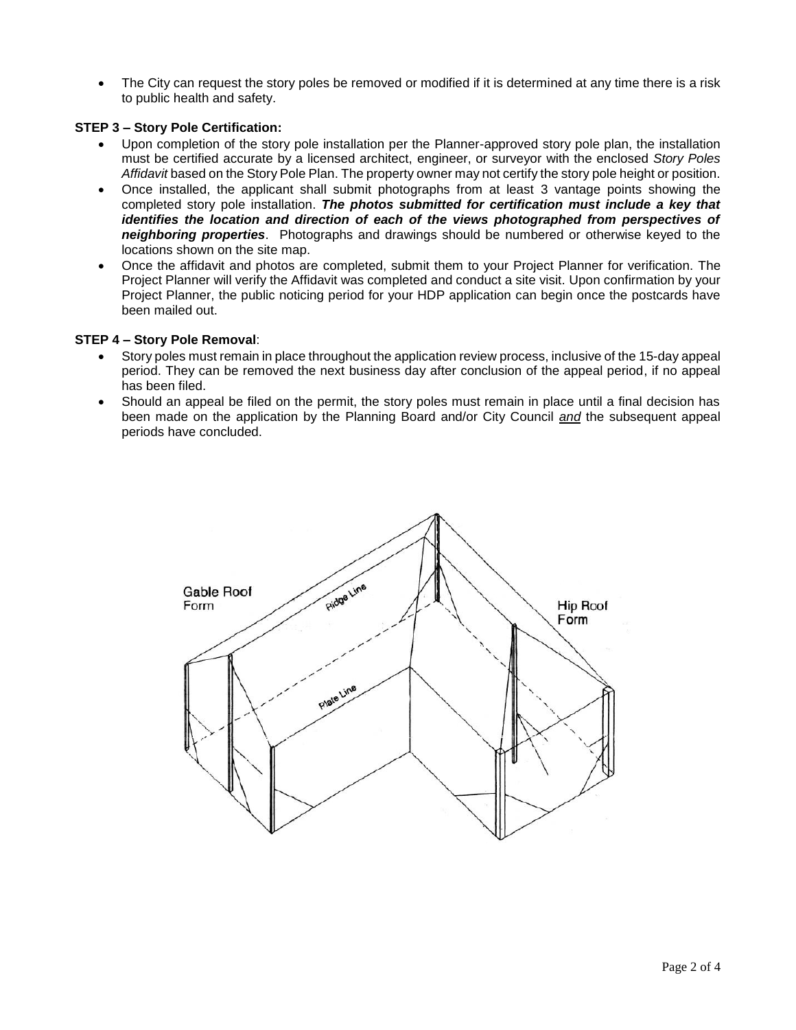The City can request the story poles be removed or modified if it is determined at any time there is a risk to public health and safety.

#### **STEP 3 – Story Pole Certification:**

- Upon completion of the story pole installation per the Planner-approved story pole plan, the installation must be certified accurate by a licensed architect, engineer, or surveyor with the enclosed *Story Poles Affidavit* based on the Story Pole Plan. The property owner may not certify the story pole height or position.
- Once installed, the applicant shall submit photographs from at least 3 vantage points showing the completed story pole installation. *The photos submitted for certification must include a key that identifies the location and direction of each of the views photographed from perspectives of neighboring properties*. Photographs and drawings should be numbered or otherwise keyed to the locations shown on the site map.
- Once the affidavit and photos are completed, submit them to your Project Planner for verification. The Project Planner will verify the Affidavit was completed and conduct a site visit. Upon confirmation by your Project Planner, the public noticing period for your HDP application can begin once the postcards have been mailed out.

#### **STEP 4 – Story Pole Removal**:

- Story poles must remain in place throughout the application review process, inclusive of the 15-day appeal period. They can be removed the next business day after conclusion of the appeal period, if no appeal has been filed.
- Should an appeal be filed on the permit, the story poles must remain in place until a final decision has been made on the application by the Planning Board and/or City Council *and* the subsequent appeal periods have concluded.

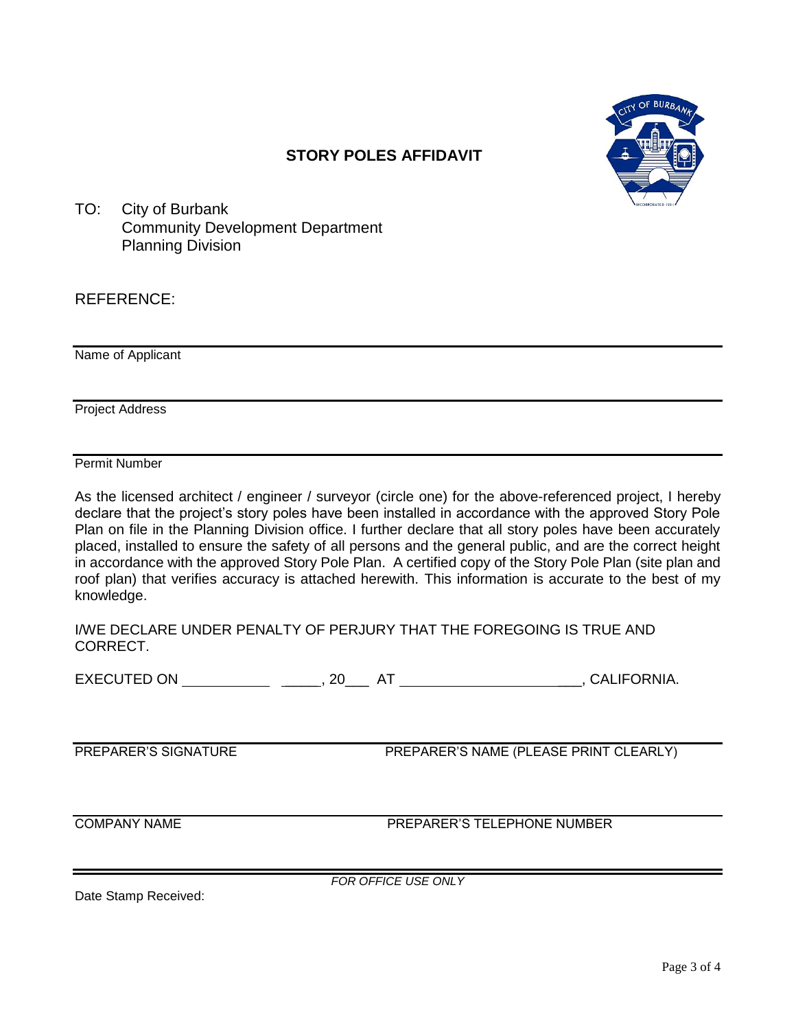

## **STORY POLES AFFIDAVIT**

TO: City of Burbank Community Development Department Planning Division

### REFERENCE:

Name of Applicant

Project Address

Permit Number

As the licensed architect / engineer / surveyor (circle one) for the above-referenced project, I hereby declare that the project's story poles have been installed in accordance with the approved Story Pole Plan on file in the Planning Division office. I further declare that all story poles have been accurately placed, installed to ensure the safety of all persons and the general public, and are the correct height in accordance with the approved Story Pole Plan. A certified copy of the Story Pole Plan (site plan and roof plan) that verifies accuracy is attached herewith. This information is accurate to the best of my knowledge.

I/WE DECLARE UNDER PENALTY OF PERJURY THAT THE FOREGOING IS TRUE AND CORRECT.

EXECUTED ON \_\_\_\_ , 20\_\_\_ AT \_\_\_, CALIFORNIA.

PREPARER'S SIGNATURE PREPARER'S NAME (PLEASE PRINT CLEARLY)

COMPANY NAME PREPARER'S TELEPHONE NUMBER

Date Stamp Received:

*FOR OFFICE USE ONLY*